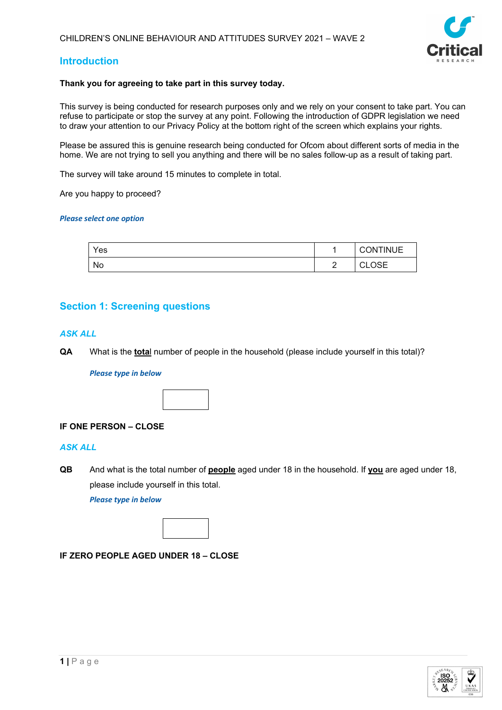

## **Introduction**

#### **Thank you for agreeing to take part in this survey today.**

This survey is being conducted for research purposes only and we rely on your consent to take part. You can refuse to participate or stop the survey at any point. Following the introduction of GDPR legislation we need to draw your attention to our Privacy Policy at the bottom right of the screen which explains your rights.

Please be assured this is genuine research being conducted for Ofcom about different sorts of media in the home. We are not trying to sell you anything and there will be no sales follow-up as a result of taking part.

The survey will take around 15 minutes to complete in total.

Are you happy to proceed?

#### *Please select one option*

| Yes |                            | <b>CONTINUE</b>        |
|-----|----------------------------|------------------------|
| No  | $\overline{ }$<br><u>_</u> | ∩s⊏<br>$\sim$<br>◡∟◡◡⊏ |

## **Section 1: Screening questions**

#### *ASK ALL*

**QA** What is the **tota**l number of people in the household (please include yourself in this total)?

#### *Please type in below*



## **IF ONE PERSON – CLOSE**

#### *ASK ALL*

**QB** And what is the total number of **people** aged under 18 in the household. If **you** are aged under 18, please include yourself in this total.

*Please type in below*



#### **IF ZERO PEOPLE AGED UNDER 18 – CLOSE**

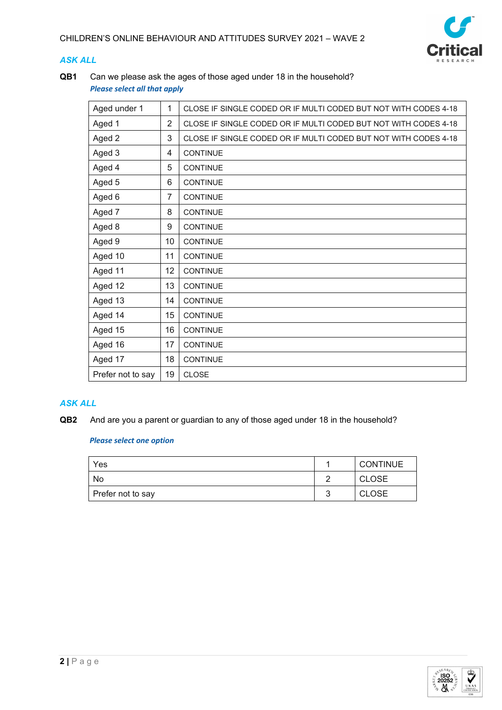

## *ASK ALL*

**QB1** Can we please ask the ages of those aged under 18 in the household? *Please select all that apply*

| Aged under 1      | 1              | CLOSE IF SINGLE CODED OR IF MULTI CODED BUT NOT WITH CODES 4-18 |
|-------------------|----------------|-----------------------------------------------------------------|
| Aged 1            | $\overline{2}$ | CLOSE IF SINGLE CODED OR IF MULTI CODED BUT NOT WITH CODES 4-18 |
| Aged 2            | 3              | CLOSE IF SINGLE CODED OR IF MULTI CODED BUT NOT WITH CODES 4-18 |
| Aged 3            | 4              | <b>CONTINUE</b>                                                 |
| Aged 4            | 5              | <b>CONTINUE</b>                                                 |
| Aged 5            | 6              | <b>CONTINUE</b>                                                 |
| Aged 6            | 7              | <b>CONTINUE</b>                                                 |
| Aged 7            | 8              | <b>CONTINUE</b>                                                 |
| Aged 8            | 9              | <b>CONTINUE</b>                                                 |
| Aged 9            | 10             | <b>CONTINUE</b>                                                 |
| Aged 10           | 11             | <b>CONTINUE</b>                                                 |
| Aged 11           | 12             | <b>CONTINUE</b>                                                 |
| Aged 12           | 13             | <b>CONTINUE</b>                                                 |
| Aged 13           | 14             | <b>CONTINUE</b>                                                 |
| Aged 14           | 15             | <b>CONTINUE</b>                                                 |
| Aged 15           | 16             | <b>CONTINUE</b>                                                 |
| Aged 16           | 17             | <b>CONTINUE</b>                                                 |
| Aged 17           | 18             | <b>CONTINUE</b>                                                 |
| Prefer not to say | 19             | <b>CLOSE</b>                                                    |

## *ASK ALL*

**QB2** And are you a parent or guardian to any of those aged under 18 in the household?

| Yes               | <b>CONTINUE</b> |
|-------------------|-----------------|
| No                | <b>CLOSE</b>    |
| Prefer not to say | <b>CLOSE</b>    |

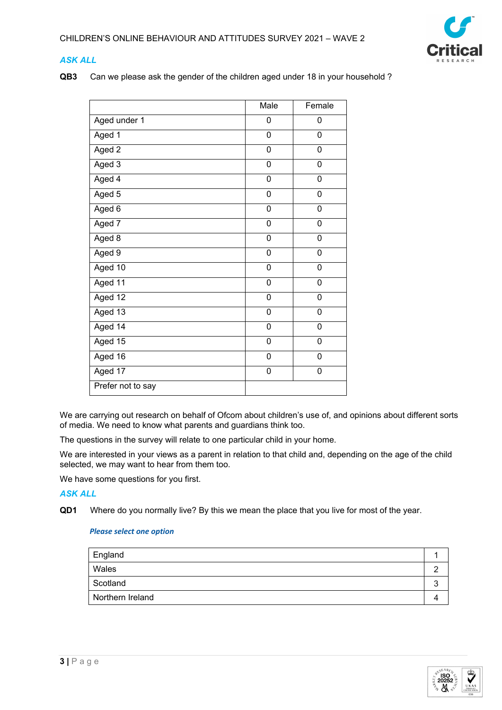

## *ASK ALL*

**QB3** Can we please ask the gender of the children aged under 18 in your household ?

|                   | Male      | Female         |
|-------------------|-----------|----------------|
| Aged under 1      | 0         | 0              |
| Aged 1            | 0         | 0              |
| Aged 2            | 0         | 0              |
| Aged 3            | 0         | $\mathbf 0$    |
| Aged 4            | 0         | $\overline{0}$ |
| Aged 5            | $\pmb{0}$ | 0              |
| Aged 6            | 0         | 0              |
| Aged 7            | 0         | 0              |
| Aged 8            | 0         | 0              |
| Aged 9            | 0         | 0              |
| Aged 10           | 0         | 0              |
| Aged 11           | 0         | $\overline{0}$ |
| Aged 12           | 0         | $\mathbf 0$    |
| Aged 13           | 0         | 0              |
| Aged 14           | 0         | 0              |
| Aged 15           | 0         | 0              |
| Aged 16           | 0         | 0              |
| Aged 17           | 0         | 0              |
| Prefer not to say |           |                |

We are carrying out research on behalf of Ofcom about children's use of, and opinions about different sorts of media. We need to know what parents and guardians think too.

The questions in the survey will relate to one particular child in your home.

We are interested in your views as a parent in relation to that child and, depending on the age of the child selected, we may want to hear from them too.

We have some questions for you first.

## *ASK ALL*

**QD1** Where do you normally live? By this we mean the place that you live for most of the year.

| England          |  |
|------------------|--|
| Wales            |  |
| Scotland         |  |
| Northern Ireland |  |
|                  |  |

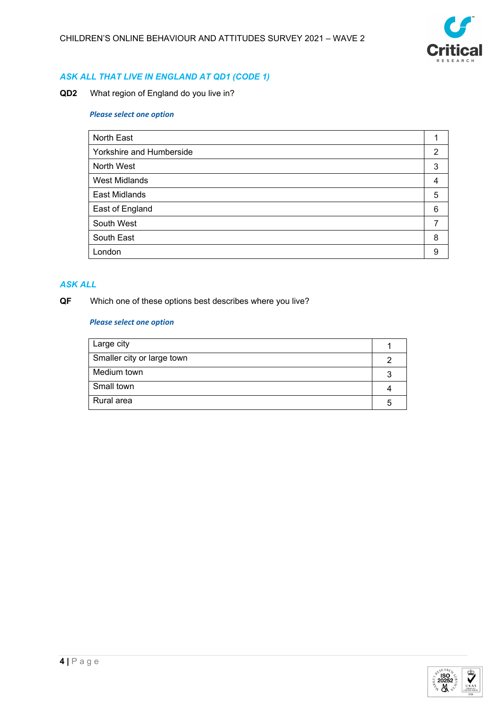

## *ASK ALL THAT LIVE IN ENGLAND AT QD1 (CODE 1)*

**QD2** What region of England do you live in?

#### *Please select one option*

| North East               |   |
|--------------------------|---|
| Yorkshire and Humberside | 2 |
| North West               | 3 |
| <b>West Midlands</b>     | 4 |
| East Midlands            | 5 |
| East of England          | 6 |
| South West               |   |
| South East               | 8 |
| London                   | 9 |

## *ASK ALL*

## **QF** Which one of these options best describes where you live?

| Large city                 |  |
|----------------------------|--|
| Smaller city or large town |  |
| Medium town                |  |
| Small town                 |  |
| Rural area                 |  |

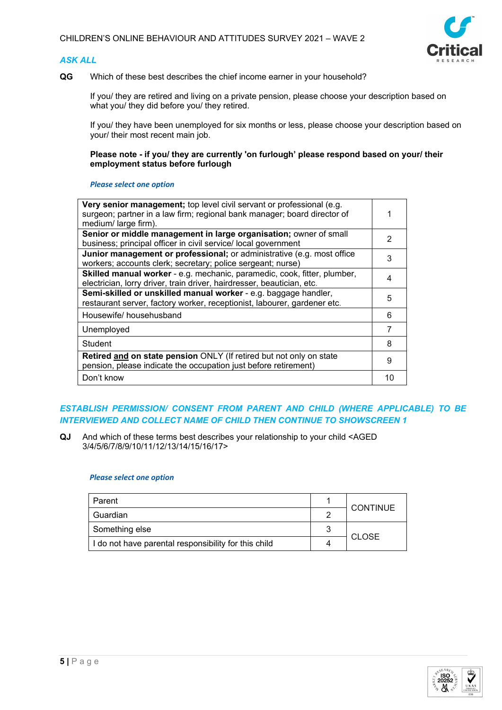## *ASK ALL*



**QG** Which of these best describes the chief income earner in your household?

If you/ they are retired and living on a private pension, please choose your description based on what you/ they did before you/ they retired.

If you/ they have been unemployed for six months or less, please choose your description based on your/ their most recent main job.

**Please note - if you/ they are currently 'on furlough' please respond based on your/ their employment status before furlough**

#### *Please select one option*

| Very senior management; top level civil servant or professional (e.g.<br>surgeon; partner in a law firm; regional bank manager; board director of<br>medium/large firm). |    |
|--------------------------------------------------------------------------------------------------------------------------------------------------------------------------|----|
| Senior or middle management in large organisation; owner of small<br>business; principal officer in civil service/ local government                                      | 2  |
| Junior management or professional; or administrative (e.g. most office<br>workers; accounts clerk; secretary; police sergeant; nurse)                                    | 3  |
| Skilled manual worker - e.g. mechanic, paramedic, cook, fitter, plumber,<br>electrician, lorry driver, train driver, hairdresser, beautician, etc.                       | 4  |
| Semi-skilled or unskilled manual worker - e.g. baggage handler,<br>restaurant server, factory worker, receptionist, labourer, gardener etc.                              | 5  |
| Housewife/househusband                                                                                                                                                   | 6  |
| Unemployed                                                                                                                                                               | 7  |
| Student                                                                                                                                                                  | 8  |
| Retired and on state pension ONLY (If retired but not only on state<br>pension, please indicate the occupation just before retirement)                                   | 9  |
| Don't know                                                                                                                                                               | 10 |

## *ESTABLISH PERMISSION/ CONSENT FROM PARENT AND CHILD (WHERE APPLICABLE) TO BE INTERVIEWED AND COLLECT NAME OF CHILD THEN CONTINUE TO SHOWSCREEN 1*

**QJ** And which of these terms best describes your relationship to your child <AGED 3/4/5/6/7/8/9/10/11/12/13/14/15/16/17>

| Parent                                               |   | <b>CONTINUE</b> |  |
|------------------------------------------------------|---|-----------------|--|
| Guardian                                             |   |                 |  |
| Something else                                       | ຈ | <b>CLOSE</b>    |  |
| I do not have parental responsibility for this child | 4 |                 |  |

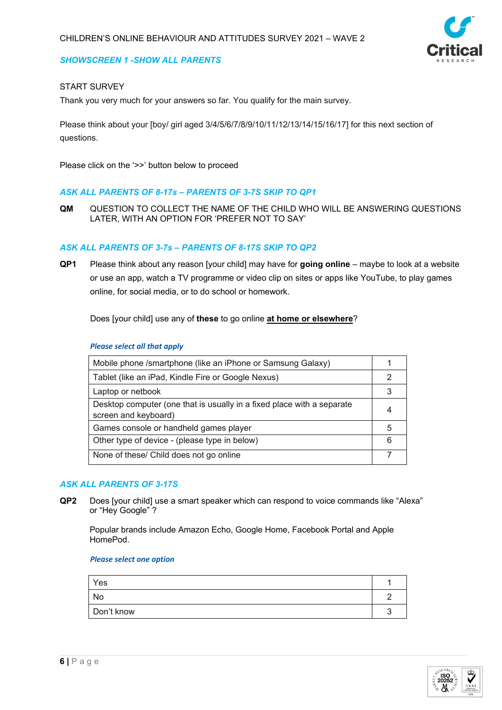## *SHOWSCREEN 1 -SHOW ALL PARENTS*

## START SURVEY

Thank you very much for your answers so far. You qualify for the main survey.

Please think about your [boy/ girl aged 3/4/5/6/7/8/9/10/11/12/13/14/15/16/17] for this next section of questions.

Please click on the '>>' button below to proceed

#### *ASK ALL PARENTS OF 8-17s – PARENTS OF 3-7S SKIP TO QP1*

**QM** QUESTION TO COLLECT THE NAME OF THE CHILD WHO WILL BE ANSWERING QUESTIONS LATER, WITH AN OPTION FOR 'PREFER NOT TO SAY'

## *ASK ALL PARENTS OF 3-7s – PARENTS OF 8-17S SKIP TO QP2*

**QP1** Please think about any reason [your child] may have for **going online** – maybe to look at a website or use an app, watch a TV programme or video clip on sites or apps like YouTube, to play games online, for social media, or to do school or homework.

Does [your child] use any of **these** to go online **at home or elsewhere**?

#### *Please select all that apply*

| Mobile phone /smartphone (like an iPhone or Samsung Galaxy)                                    |    |
|------------------------------------------------------------------------------------------------|----|
| Tablet (like an iPad, Kindle Fire or Google Nexus)                                             |    |
| Laptop or netbook                                                                              |    |
| Desktop computer (one that is usually in a fixed place with a separate<br>screen and keyboard) |    |
| Games console or handheld games player                                                         | ٠h |
| Other type of device - (please type in below)                                                  | հ  |
| None of these/ Child does not go online                                                        |    |

## *ASK ALL PARENTS OF 3-17S*

**QP2** Does [your child] use a smart speaker which can respond to voice commands like "Alexa" or "Hey Google" ?

Popular brands include Amazon Echo, Google Home, Facebook Portal and Apple HomePod.

| Yes        |  |
|------------|--|
| No         |  |
| Don't know |  |

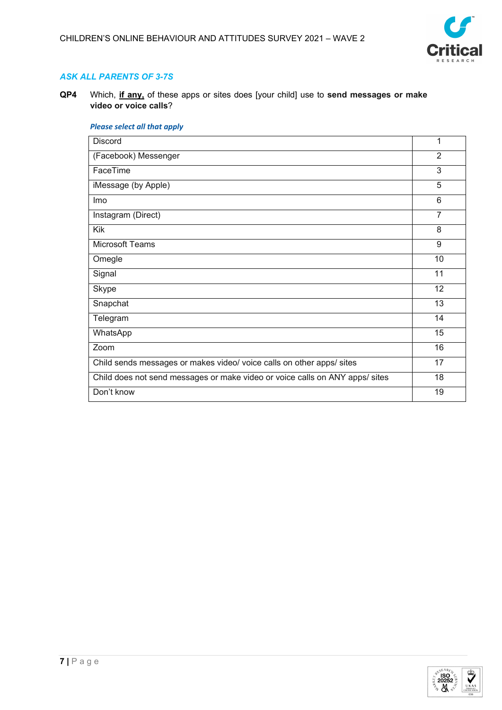

## *ASK ALL PARENTS OF 3-7S*

**QP4** Which, **if any,** of these apps or sites does [your child] use to **send messages or make video or voice calls**?

## *Please select all that apply*

| Discord                                                                      | 1              |
|------------------------------------------------------------------------------|----------------|
| (Facebook) Messenger                                                         | $\overline{2}$ |
| FaceTime                                                                     | 3              |
| iMessage (by Apple)                                                          | 5              |
| Imo                                                                          | 6              |
| Instagram (Direct)                                                           | $\overline{7}$ |
| Kik                                                                          | 8              |
| <b>Microsoft Teams</b>                                                       | 9              |
| Omegle                                                                       | 10             |
| Signal                                                                       | 11             |
| Skype                                                                        | 12             |
| Snapchat                                                                     | 13             |
| Telegram                                                                     | 14             |
| WhatsApp                                                                     | 15             |
| Zoom                                                                         | 16             |
| Child sends messages or makes video/ voice calls on other apps/ sites        | 17             |
| Child does not send messages or make video or voice calls on ANY apps/ sites | 18             |
| Don't know                                                                   | 19             |

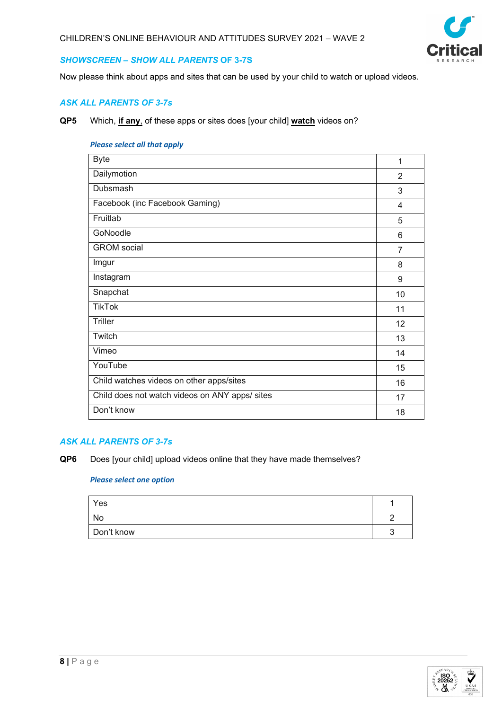

## *SHOWSCREEN – SHOW ALL PARENTS* **OF 3-7S**

Now please think about apps and sites that can be used by your child to watch or upload videos.

## *ASK ALL PARENTS OF 3-7s*

**QP5** Which, **if any**, of these apps or sites does [your child] **watch** videos on?

#### *Please select all that apply*

| <b>Byte</b>                                    | 1              |
|------------------------------------------------|----------------|
| Dailymotion                                    | $\overline{2}$ |
| Dubsmash                                       | 3              |
| Facebook (inc Facebook Gaming)                 | 4              |
| Fruitlab                                       | 5              |
| GoNoodle                                       | 6              |
| <b>GROM</b> social                             | $\overline{7}$ |
| Imgur                                          | 8              |
| Instagram                                      | 9              |
| Snapchat                                       | 10             |
| <b>TikTok</b>                                  | 11             |
| <b>Triller</b>                                 | 12             |
| Twitch                                         | 13             |
| Vimeo                                          | 14             |
| YouTube                                        | 15             |
| Child watches videos on other apps/sites       | 16             |
| Child does not watch videos on ANY apps/ sites | 17             |
| Don't know                                     | 18             |

## *ASK ALL PARENTS OF 3-7s*

**QP6** Does [your child] upload videos online that they have made themselves?

| Yes        |  |
|------------|--|
| No         |  |
| Don't know |  |

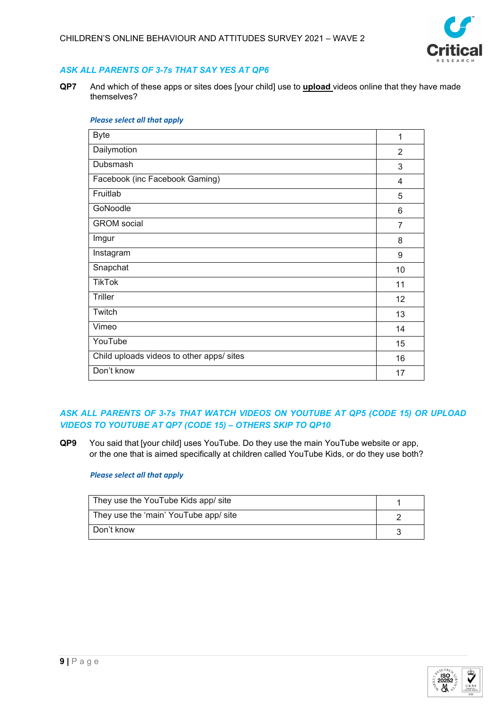

## *ASK ALL PARENTS OF 3-7s THAT SAY YES AT QP6*

**QP7** And which of these apps or sites does [your child] use to **upload** videos online that they have made themselves?

| <b>Byte</b>                               | 1  |
|-------------------------------------------|----|
| Dailymotion                               | 2  |
| Dubsmash                                  | 3  |
| Facebook (inc Facebook Gaming)            | 4  |
| Fruitlab                                  | 5  |
| GoNoodle                                  | 6  |
| <b>GROM</b> social                        | 7  |
| Imgur                                     | 8  |
| Instagram                                 | 9  |
| Snapchat                                  | 10 |
| <b>TikTok</b>                             | 11 |
| <b>Triller</b>                            | 12 |
| Twitch                                    | 13 |
| Vimeo                                     | 14 |
| YouTube                                   | 15 |
| Child uploads videos to other apps/ sites | 16 |
| Don't know                                | 17 |

#### *Please select all that apply*

## *ASK ALL PARENTS OF 3-7s THAT WATCH VIDEOS ON YOUTUBE AT QP5 (CODE 15) OR UPLOAD VIDEOS TO YOUTUBE AT QP7 (CODE 15) – OTHERS SKIP TO QP10*

**QP9** You said that [your child] uses YouTube. Do they use the main YouTube website or app, or the one that is aimed specifically at children called YouTube Kids, or do they use both?

#### *Please select all that apply*

| They use the YouTube Kids app/ site   |  |
|---------------------------------------|--|
| They use the 'main' YouTube app/ site |  |
| Don't know                            |  |

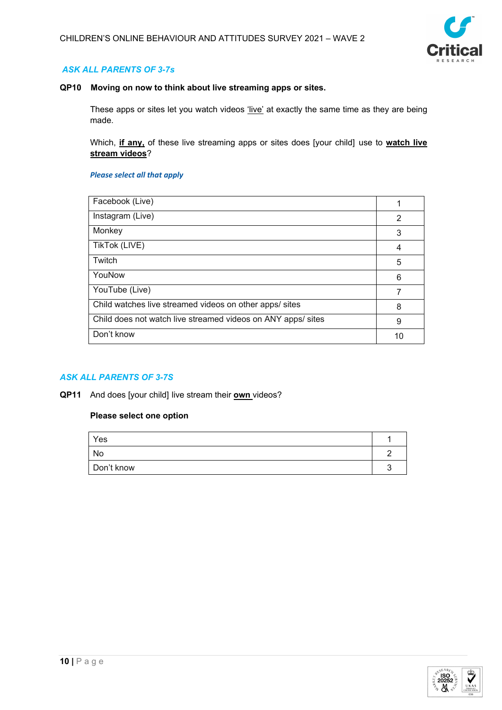

## *ASK ALL PARENTS OF 3-7s*

#### **QP10 Moving on now to think about live streaming apps or sites.**

These apps or sites let you watch videos 'live' at exactly the same time as they are being made.

Which, **if any,** of these live streaming apps or sites does [your child] use to **watch live stream videos**?

#### *Please select all that apply*

| Facebook (Live)                                              |   |
|--------------------------------------------------------------|---|
| Instagram (Live)                                             | 2 |
| Monkey                                                       | 3 |
| TikTok (LIVE)                                                | 4 |
| Twitch                                                       | 5 |
| YouNow                                                       | 6 |
| YouTube (Live)                                               |   |
| Child watches live streamed videos on other apps/ sites      | 8 |
| Child does not watch live streamed videos on ANY apps/ sites | 9 |
| Don't know                                                   |   |

## *ASK ALL PARENTS OF 3-7S*

**QP11** And does [your child] live stream their **own** videos?

| Yes        |  |
|------------|--|
| No         |  |
| Don't know |  |

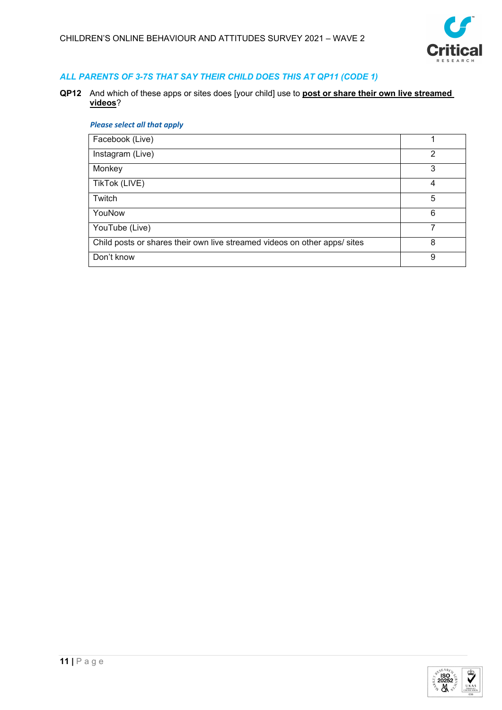

## *ALL PARENTS OF 3-7S THAT SAY THEIR CHILD DOES THIS AT QP11 (CODE 1)*

**QP12** And which of these apps or sites does [your child] use to **post or share their own live streamed videos**?

## *Please select all that apply*

| Facebook (Live)                                                           |   |
|---------------------------------------------------------------------------|---|
| Instagram (Live)                                                          | 2 |
| Monkey                                                                    | 3 |
| TikTok (LIVE)                                                             | 4 |
| Twitch                                                                    | 5 |
| YouNow                                                                    | 6 |
| YouTube (Live)                                                            |   |
| Child posts or shares their own live streamed videos on other apps/ sites | 8 |
| Don't know                                                                | 9 |

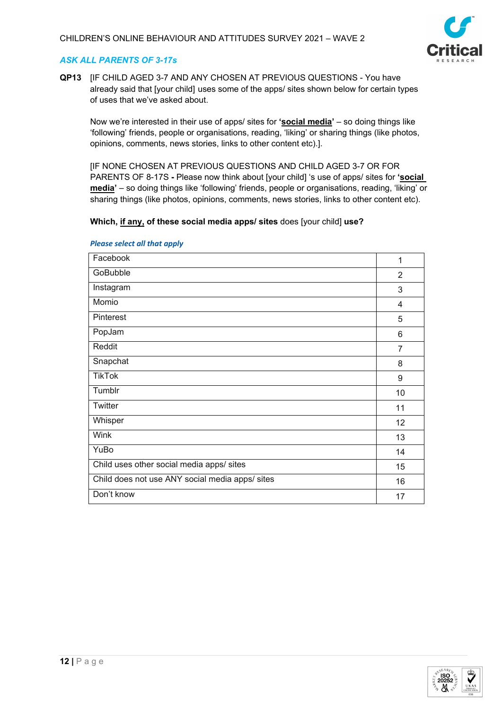

## *ASK ALL PARENTS OF 3-17s*

**QP13** [IF CHILD AGED 3-7 AND ANY CHOSEN AT PREVIOUS QUESTIONS - You have already said that [your child] uses some of the apps/ sites shown below for certain types of uses that we've asked about.

Now we're interested in their use of apps/ sites for **'social media'** – so doing things like 'following' friends, people or organisations, reading, 'liking' or sharing things (like photos, opinions, comments, news stories, links to other content etc).].

[IF NONE CHOSEN AT PREVIOUS QUESTIONS AND CHILD AGED 3-7 OR FOR PARENTS OF 8-17S **-** Please now think about [your child] 's use of apps/ sites for **'social media'** – so doing things like 'following' friends, people or organisations, reading, 'liking' or sharing things (like photos, opinions, comments, news stories, links to other content etc).

#### **Which, if any, of these social media apps/ sites** does [your child] **use?**

| Facebook                                        | 1              |
|-------------------------------------------------|----------------|
| GoBubble                                        | $\overline{2}$ |
| Instagram                                       | 3              |
| Momio                                           | 4              |
| Pinterest                                       | 5              |
| PopJam                                          | 6              |
| Reddit                                          | $\overline{7}$ |
| Snapchat                                        | 8              |
| <b>TikTok</b>                                   | 9              |
| Tumblr                                          | 10             |
| Twitter                                         | 11             |
| Whisper                                         | 12             |
| Wink                                            | 13             |
| YuBo                                            | 14             |
| Child uses other social media apps/ sites       | 15             |
| Child does not use ANY social media apps/ sites | 16             |
| Don't know                                      | 17             |

#### *Please select all that apply*

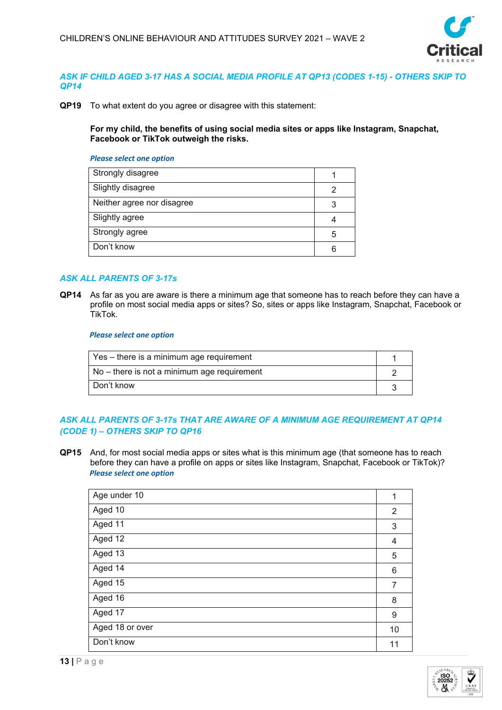

## *ASK IF CHILD AGED 3-17 HAS A SOCIAL MEDIA PROFILE AT QP13 (CODES 1-15) - OTHERS SKIP TO QP14*

**QP19** To what extent do you agree or disagree with this statement:

**For my child, the benefits of using social media sites or apps like Instagram, Snapchat, Facebook or TikTok outweigh the risks.**

#### *Please select one option*

| Strongly disagree          |   |
|----------------------------|---|
| Slightly disagree          |   |
| Neither agree nor disagree |   |
| Slightly agree             |   |
| Strongly agree             | 5 |
| Don't know                 |   |

## *ASK ALL PARENTS OF 3-17s*

**QP14** As far as you are aware is there a minimum age that someone has to reach before they can have a profile on most social media apps or sites? So, sites or apps like Instagram, Snapchat, Facebook or TikTok.

#### *Please select one option*

| Yes – there is a minimum age requirement    |  |
|---------------------------------------------|--|
| No – there is not a minimum age requirement |  |
| Don't know                                  |  |

## *ASK ALL PARENTS OF 3-17s THAT ARE AWARE OF A MINIMUM AGE REQUIREMENT AT QP14 (CODE 1) – OTHERS SKIP TO QP16*

**QP15** And, for most social media apps or sites what is this minimum age (that someone has to reach before they can have a profile on apps or sites like Instagram, Snapchat, Facebook or TikTok)? *Please select one option*

| Age under 10    | 1              |
|-----------------|----------------|
| Aged 10         | $\overline{2}$ |
| Aged 11         | 3              |
| Aged 12         | 4              |
| Aged 13         | 5              |
| Aged 14         | 6              |
| Aged 15         | $\overline{7}$ |
| Aged 16         | 8              |
| Aged 17         | 9              |
| Aged 18 or over | 10             |
| Don't know      | 11             |

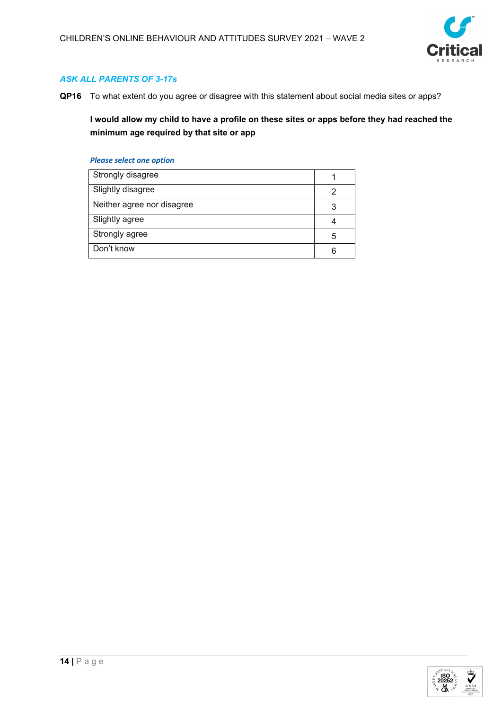

## *ASK ALL PARENTS OF 3-17s*

**QP16** To what extent do you agree or disagree with this statement about social media sites or apps?

**I would allow my child to have a profile on these sites or apps before they had reached the minimum age required by that site or app**

| Strongly disagree          |   |
|----------------------------|---|
| Slightly disagree          |   |
| Neither agree nor disagree | 3 |
| Slightly agree             |   |
| Strongly agree             | 5 |
| Don't know                 | 6 |

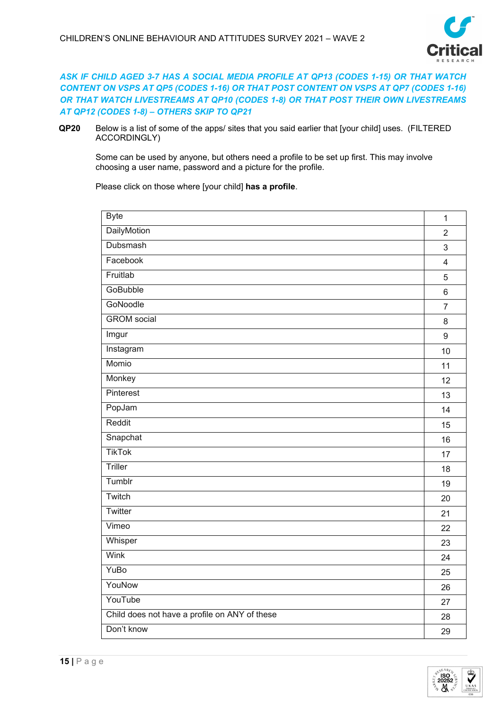

## *ASK IF CHILD AGED 3-7 HAS A SOCIAL MEDIA PROFILE AT QP13 (CODES 1-15) OR THAT WATCH CONTENT ON VSPS AT QP5 (CODES 1-16) OR THAT POST CONTENT ON VSPS AT QP7 (CODES 1-16) OR THAT WATCH LIVESTREAMS AT QP10 (CODES 1-8) OR THAT POST THEIR OWN LIVESTREAMS AT QP12 (CODES 1-8) – OTHERS SKIP TO QP21*

**QP20** Below is a list of some of the apps/ sites that you said earlier that [your child] uses. (FILTERED ACCORDINGLY)

Some can be used by anyone, but others need a profile to be set up first. This may involve choosing a user name, password and a picture for the profile.

Please click on those where [your child] **has a profile**.

| <b>Byte</b>                                   | $\mathbf{1}$            |
|-----------------------------------------------|-------------------------|
| DailyMotion                                   | $\overline{2}$          |
| Dubsmash                                      | 3                       |
| Facebook                                      | $\overline{\mathbf{4}}$ |
| Fruitlab                                      | 5                       |
| GoBubble                                      | $\,6\,$                 |
| GoNoodle                                      | $\overline{7}$          |
| <b>GROM</b> social                            | $\,8\,$                 |
| Imgur                                         | $9\,$                   |
| Instagram                                     | 10                      |
| Momio                                         | 11                      |
| Monkey                                        | 12                      |
| Pinterest                                     | 13                      |
| PopJam                                        | 14                      |
| Reddit                                        | 15                      |
| Snapchat                                      | 16                      |
| <b>TikTok</b>                                 | 17                      |
| Triller                                       | 18                      |
| Tumblr                                        | 19                      |
| Twitch                                        | 20                      |
| Twitter                                       | 21                      |
| Vimeo                                         | 22                      |
| Whisper                                       | 23                      |
| <b>Wink</b>                                   | 24                      |
| YuBo                                          | 25                      |
| YouNow                                        | 26                      |
| YouTube                                       | 27                      |
| Child does not have a profile on ANY of these | 28                      |
| Don't know                                    | 29                      |

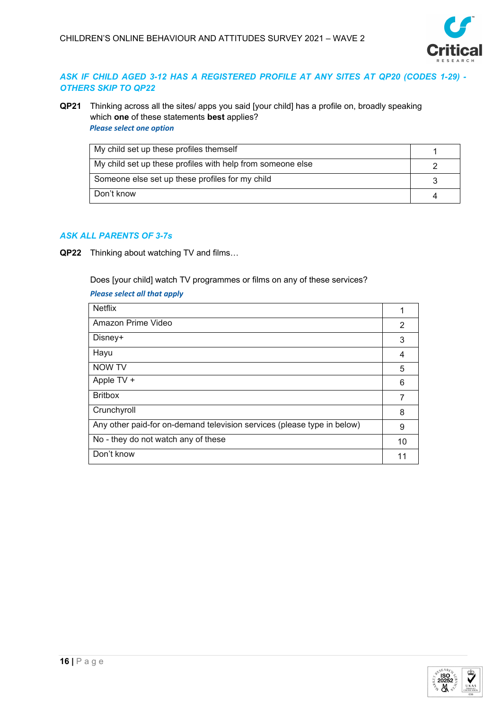

## *ASK IF CHILD AGED 3-12 HAS A REGISTERED PROFILE AT ANY SITES AT QP20 (CODES 1-29) - OTHERS SKIP TO QP22*

**QP21** Thinking across all the sites/ apps you said [your child] has a profile on, broadly speaking which **one** of these statements **best** applies? *Please select one option*

| My child set up these profiles themself                    |  |
|------------------------------------------------------------|--|
| My child set up these profiles with help from someone else |  |
| Someone else set up these profiles for my child            |  |
| Don't know                                                 |  |

## *ASK ALL PARENTS OF 3-7s*

**QP22** Thinking about watching TV and films…

Does [your child] watch TV programmes or films on any of these services?

## *Please select all that apply*

| <b>Netflix</b>                                                          |    |
|-------------------------------------------------------------------------|----|
| Amazon Prime Video                                                      | 2  |
| Disney+                                                                 | 3  |
| Hayu                                                                    | 4  |
| NOW TV                                                                  | 5  |
| Apple TV +                                                              | 6  |
| <b>Britbox</b>                                                          | 7  |
| Crunchyroll                                                             | 8  |
| Any other paid-for on-demand television services (please type in below) | 9  |
| No - they do not watch any of these                                     | 10 |
| Don't know                                                              |    |

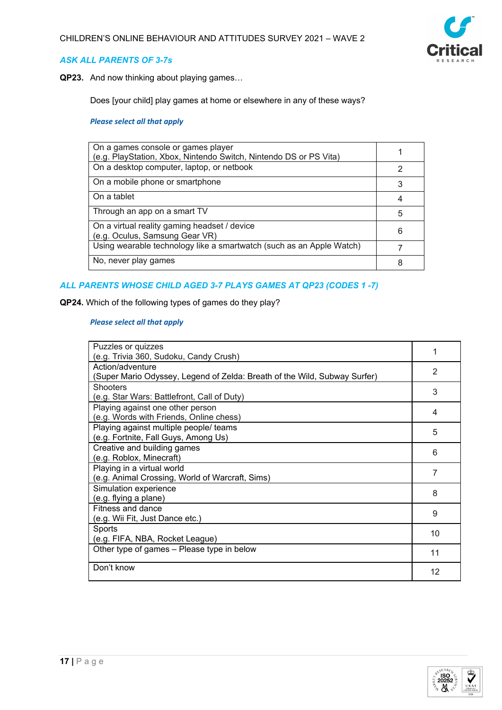

## *ASK ALL PARENTS OF 3-7s*

**QP23.** And now thinking about playing games…

Does [your child] play games at home or elsewhere in any of these ways?

#### *Please select all that apply*

| On a games console or games player<br>(e.g. PlayStation, Xbox, Nintendo Switch, Nintendo DS or PS Vita) |   |
|---------------------------------------------------------------------------------------------------------|---|
| On a desktop computer, laptop, or netbook                                                               | 2 |
| On a mobile phone or smartphone                                                                         | 3 |
| On a tablet                                                                                             | 4 |
| Through an app on a smart TV                                                                            | 5 |
| On a virtual reality gaming headset / device<br>(e.g. Oculus, Samsung Gear VR)                          | 6 |
| Using wearable technology like a smartwatch (such as an Apple Watch)                                    |   |
| No, never play games                                                                                    |   |

## *ALL PARENTS WHOSE CHILD AGED 3-7 PLAYS GAMES AT QP23 (CODES 1 -7)*

**QP24.** Which of the following types of games do they play?

#### *Please select all that apply*

| Puzzles or quizzes<br>(e.g. Trivia 360, Sudoku, Candy Crush)                                  | 1  |
|-----------------------------------------------------------------------------------------------|----|
| Action/adventure<br>(Super Mario Odyssey, Legend of Zelda: Breath of the Wild, Subway Surfer) | 2  |
| <b>Shooters</b><br>(e.g. Star Wars: Battlefront, Call of Duty)                                | 3  |
| Playing against one other person<br>(e.g. Words with Friends, Online chess)                   | 4  |
| Playing against multiple people/ teams<br>(e.g. Fortnite, Fall Guys, Among Us)                | 5  |
| Creative and building games<br>(e.g. Roblox, Minecraft)                                       | 6  |
| Playing in a virtual world<br>(e.g. Animal Crossing, World of Warcraft, Sims)                 | 7  |
| Simulation experience<br>(e.g. flying a plane)                                                | 8  |
| Fitness and dance<br>(e.g. Wii Fit, Just Dance etc.)                                          | 9  |
| Sports<br>(e.g. FIFA, NBA, Rocket League)                                                     | 10 |
| Other type of games - Please type in below                                                    | 11 |
| Don't know                                                                                    | 12 |

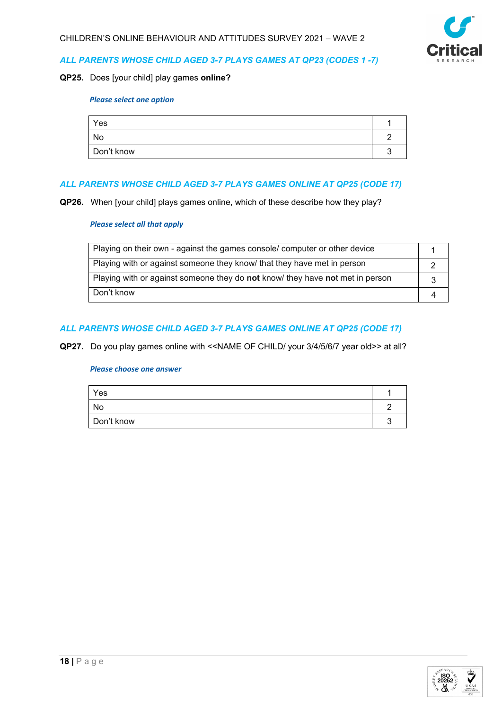

#### *ALL PARENTS WHOSE CHILD AGED 3-7 PLAYS GAMES AT QP23 (CODES 1 -7)*

#### **QP25.** Does [your child] play games **online?**

#### *Please select one option*

| Yes        |  |
|------------|--|
| No         |  |
| Don't know |  |

## *ALL PARENTS WHOSE CHILD AGED 3-7 PLAYS GAMES ONLINE AT QP25 (CODE 17)*

**QP26.** When [your child] plays games online, which of these describe how they play?

#### *Please select all that apply*

| Playing on their own - against the games console/ computer or other device    |  |
|-------------------------------------------------------------------------------|--|
| Playing with or against someone they know that they have met in person        |  |
| Playing with or against someone they do not know/ they have not met in person |  |
| Don't know                                                                    |  |

## *ALL PARENTS WHOSE CHILD AGED 3-7 PLAYS GAMES ONLINE AT QP25 (CODE 17)*

**QP27.** Do you play games online with <<NAME OF CHILD/ your 3/4/5/6/7 year old>> at all?

| Yes        |  |
|------------|--|
| No         |  |
| Don't know |  |

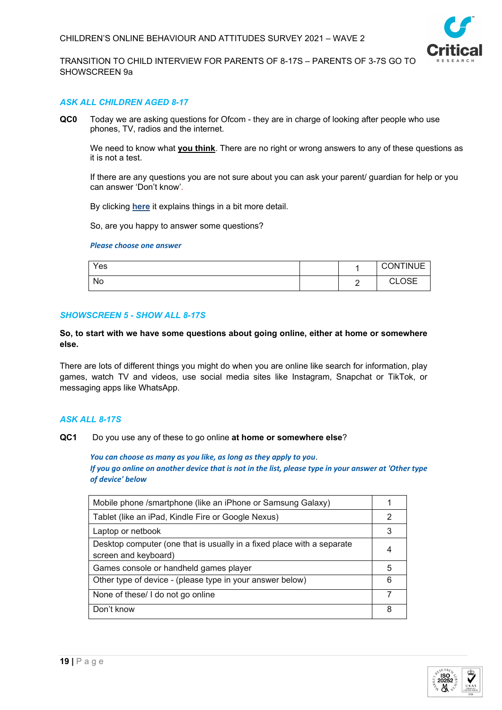

TRANSITION TO CHILD INTERVIEW FOR PARENTS OF 8-17S – PARENTS OF 3-7S GO TO SHOWSCREEN 9a

#### *ASK ALL CHILDREN AGED 8-17*

**QC0** Today we are asking questions for Ofcom - they are in charge of looking after people who use phones, TV, radios and the internet.

We need to know what **you think**. There are no right or wrong answers to any of these questions as it is not a test.

If there are any questions you are not sure about you can ask your parent/ guardian for help or you can answer 'Don't know'.

By clicking **here** it explains things in a bit more detail.

So, are you happy to answer some questions?

#### *Please choose one answer*

| Yes |        | <b>CONTINUE</b>            |
|-----|--------|----------------------------|
| No  | ╭<br>- | $\cap$ CE<br>$\sim$<br>◡◡⊏ |

#### *SHOWSCREEN 5 - SHOW ALL 8-17S*

#### **So, to start with we have some questions about going online, either at home or somewhere else.**

There are lots of different things you might do when you are online like search for information, play games, watch TV and videos, use social media sites like Instagram, Snapchat or TikTok, or messaging apps like WhatsApp.

#### *ASK ALL 8-17S*

**QC1** Do you use any of these to go online **at home or somewhere else**?

*You can choose as many as you like, as long as they apply to you*. *If you go online on another device that is not in the list, please type in your answer at 'Other type of device' below*

| Mobile phone /smartphone (like an iPhone or Samsung Galaxy)                                    |   |
|------------------------------------------------------------------------------------------------|---|
| Tablet (like an iPad, Kindle Fire or Google Nexus)                                             | 2 |
| Laptop or netbook                                                                              |   |
| Desktop computer (one that is usually in a fixed place with a separate<br>screen and keyboard) |   |
| Games console or handheld games player                                                         | 5 |
| Other type of device - (please type in your answer below)                                      | 6 |
| None of these/ I do not go online                                                              |   |
| Don't know                                                                                     | 8 |

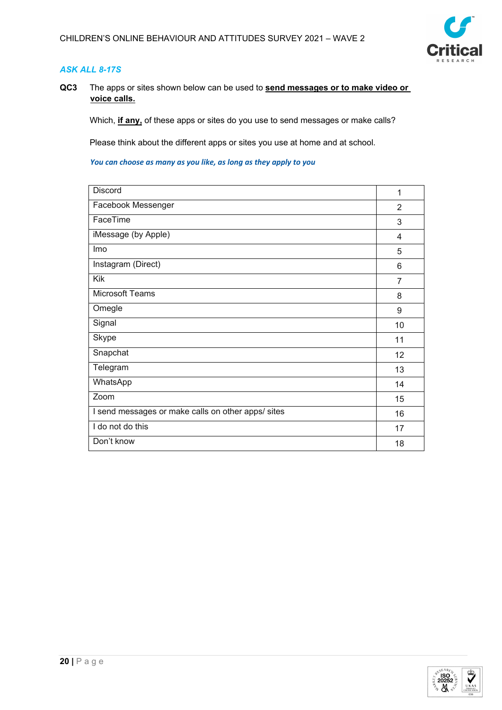

## *ASK ALL 8-17S*

**QC3** The apps or sites shown below can be used to **send messages or to make video or voice calls.**

Which, **if any,** of these apps or sites do you use to send messages or make calls?

Please think about the different apps or sites you use at home and at school.

| Discord                                            | 1              |
|----------------------------------------------------|----------------|
| Facebook Messenger                                 | 2              |
| FaceTime                                           | 3              |
| iMessage (by Apple)                                | 4              |
| Imo                                                | 5              |
| Instagram (Direct)                                 | 6              |
| Kik                                                | $\overline{7}$ |
| <b>Microsoft Teams</b>                             | 8              |
| Omegle                                             | 9              |
| Signal                                             | 10             |
| <b>Skype</b>                                       | 11             |
| Snapchat                                           | 12             |
| Telegram                                           | 13             |
| WhatsApp                                           | 14             |
| Zoom                                               | 15             |
| I send messages or make calls on other apps/ sites | 16             |
| I do not do this                                   | 17             |
| Don't know                                         | 18             |

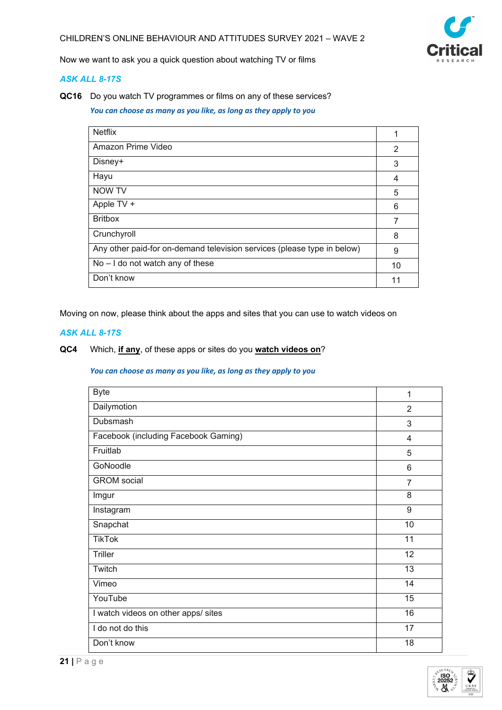

Now we want to ask you a quick question about watching TV or films

## *ASK ALL 8-17S*

**QC16** Do you watch TV programmes or films on any of these services?

*You can choose as many as you like, as long as they apply to you*

| <b>Netflix</b>                                                          | 1  |
|-------------------------------------------------------------------------|----|
| Amazon Prime Video                                                      | 2  |
| Disney+                                                                 | 3  |
| Hayu                                                                    | 4  |
| <b>NOW TV</b>                                                           | 5  |
| Apple TV +                                                              | 6  |
| <b>Britbox</b>                                                          | 7  |
| Crunchyroll                                                             | 8  |
| Any other paid-for on-demand television services (please type in below) | 9  |
| $No - I$ do not watch any of these                                      | 10 |
| Don't know                                                              | 11 |

Moving on now, please think about the apps and sites that you can use to watch videos on

## *ASK ALL 8-17S*

## **QC4** Which, **if any**, of these apps or sites do you **watch videos on**?

| <b>Byte</b>                          | 1               |
|--------------------------------------|-----------------|
| Dailymotion                          | 2               |
| Dubsmash                             | 3               |
| Facebook (including Facebook Gaming) | $\overline{4}$  |
| Fruitlab                             | 5               |
| GoNoodle                             | 6               |
| <b>GROM</b> social                   | $\overline{7}$  |
| Imgur                                | 8               |
| Instagram                            | 9               |
| Snapchat                             | 10              |
| <b>TikTok</b>                        | 11              |
| <b>Triller</b>                       | 12              |
| Twitch                               | $\overline{13}$ |
| Vimeo                                | 14              |
| YouTube                              | 15              |
| I watch videos on other apps/ sites  | 16              |
| I do not do this                     | 17              |
| Don't know                           | 18              |

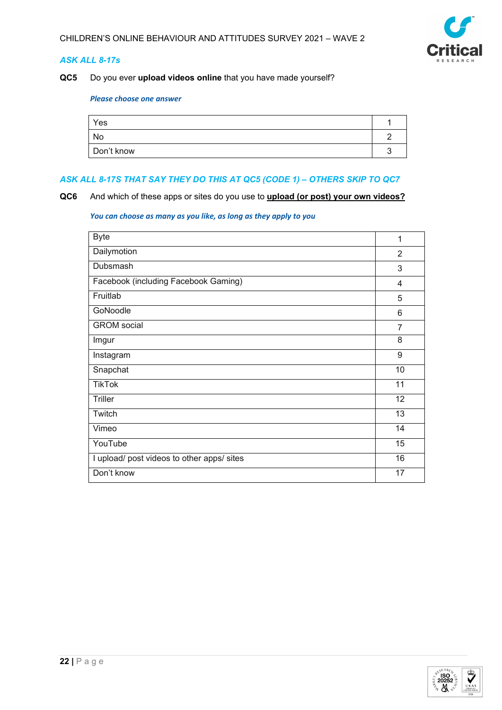

## *ASK ALL 8-17s*

## **QC5** Do you ever **upload videos online** that you have made yourself?

#### *Please choose one answer*

| Yes        |  |
|------------|--|
| No         |  |
| Don't know |  |

#### *ASK ALL 8-17S THAT SAY THEY DO THIS AT QC5 (CODE 1) – OTHERS SKIP TO QC7*

**QC6** And which of these apps or sites do you use to **upload (or post) your own videos?**

| <b>Byte</b>                                | 1              |
|--------------------------------------------|----------------|
| Dailymotion                                | $\overline{2}$ |
| Dubsmash                                   | 3              |
| Facebook (including Facebook Gaming)       | 4              |
| Fruitlab                                   | 5              |
| GoNoodle                                   | 6              |
| <b>GROM</b> social                         | $\overline{7}$ |
| Imgur                                      | 8              |
| Instagram                                  | 9              |
| Snapchat                                   | 10             |
| <b>TikTok</b>                              | 11             |
| Triller                                    | 12             |
| Twitch                                     | 13             |
| Vimeo                                      | 14             |
| YouTube                                    | 15             |
| I upload/ post videos to other apps/ sites | 16             |
| Don't know                                 | 17             |

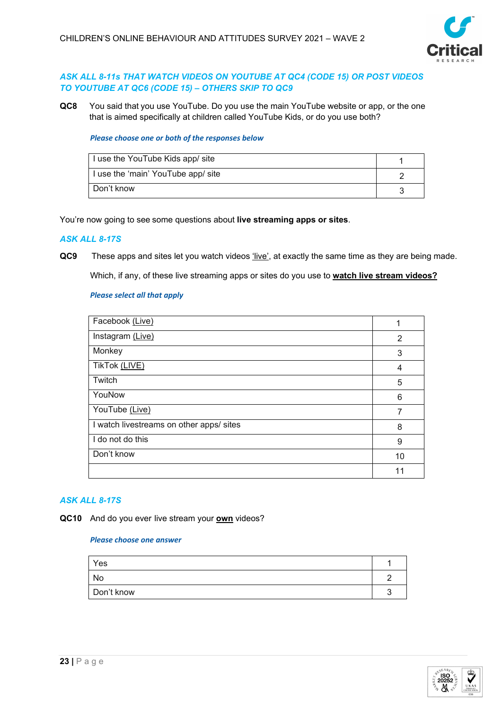

## *ASK ALL 8-11s THAT WATCH VIDEOS ON YOUTUBE AT QC4 (CODE 15) OR POST VIDEOS TO YOUTUBE AT QC6 (CODE 15) – OTHERS SKIP TO QC9*

**QC8** You said that you use YouTube. Do you use the main YouTube website or app, or the one that is aimed specifically at children called YouTube Kids, or do you use both?

#### *Please choose one or both of the responses below*

| I use the YouTube Kids app/ site   |  |
|------------------------------------|--|
| I use the 'main' YouTube app/ site |  |
| Don't know                         |  |

You're now going to see some questions about **live streaming apps or sites**.

## *ASK ALL 8-17S*

**QC9** These apps and sites let you watch videos 'live', at exactly the same time as they are being made.

Which, if any, of these live streaming apps or sites do you use to **watch live stream videos?**

#### *Please select all that apply*

| Facebook (Live)                          | 1  |
|------------------------------------------|----|
| Instagram (Live)                         | 2  |
| Monkey                                   | 3  |
| TikTok (LIVE)                            | 4  |
| Twitch                                   | 5  |
| YouNow                                   | 6  |
| YouTube (Live)                           | 7  |
| I watch livestreams on other apps/ sites | 8  |
| I do not do this                         | 9  |
| Don't know                               | 10 |
|                                          | 11 |

#### *ASK ALL 8-17S*

**QC10** And do you ever live stream your **own** videos?

| Yes        |  |
|------------|--|
| No         |  |
| Don't know |  |

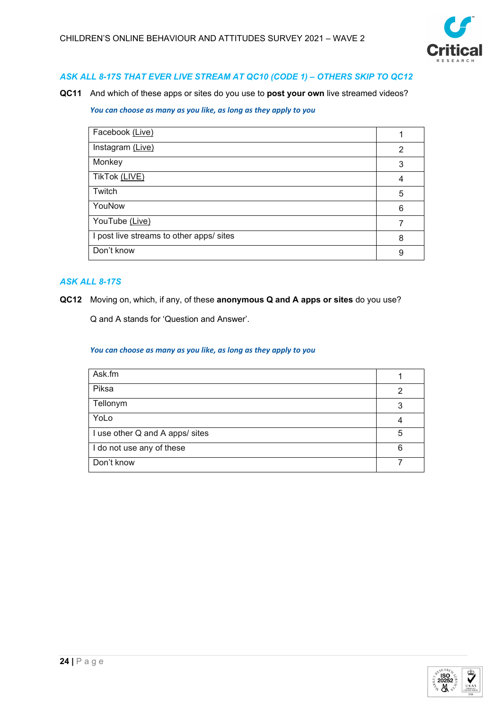

## *ASK ALL 8-17S THAT EVER LIVE STREAM AT QC10 (CODE 1) – OTHERS SKIP TO QC12*

**QC11** And which of these apps or sites do you use to **post your own** live streamed videos?

#### *You can choose as many as you like, as long as they apply to you*

| Facebook (Live)                          |   |
|------------------------------------------|---|
| Instagram (Live)                         | 2 |
| Monkey                                   | 3 |
| TikTok (LIVE)                            | 4 |
| Twitch                                   | 5 |
| YouNow                                   | 6 |
| YouTube (Live)                           |   |
| I post live streams to other apps/ sites | 8 |
| Don't know                               | 9 |

## *ASK ALL 8-17S*

**QC12** Moving on, which, if any, of these **anonymous Q and A apps or sites** do you use?

Q and A stands for 'Question and Answer'.

| Ask.fm                          |   |
|---------------------------------|---|
| Piksa                           | 2 |
| Tellonym                        | 3 |
| YoLo                            |   |
| I use other Q and A apps/ sites | 5 |
| I do not use any of these       | 6 |
| Don't know                      |   |

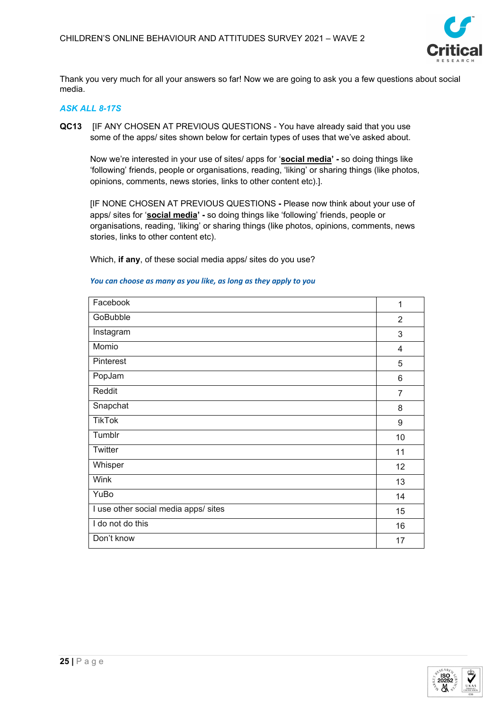

Thank you very much for all your answers so far! Now we are going to ask you a few questions about social media.

## *ASK ALL 8-17S*

**QC13** [IF ANY CHOSEN AT PREVIOUS QUESTIONS - You have already said that you use some of the apps/ sites shown below for certain types of uses that we've asked about.

Now we're interested in your use of sites/ apps for '**social media' -** so doing things like 'following' friends, people or organisations, reading, 'liking' or sharing things (like photos, opinions, comments, news stories, links to other content etc).].

[IF NONE CHOSEN AT PREVIOUS QUESTIONS **-** Please now think about your use of apps/ sites for '**social media' -** so doing things like 'following' friends, people or organisations, reading, 'liking' or sharing things (like photos, opinions, comments, news stories, links to other content etc).

Which, **if any**, of these social media apps/ sites do you use?

## Facebook 1 GoBubble 2012 2013 2014 2022 2023 2024 2025 2026 2027 2028 2029 2020 2021 2022 20 Instagram 3 Momio 4 Pinterest **1996** September 2006 September 2006 September 2006 September 2006 September 2006 September 2006 September 2006 September 2006 September 2006 September 2006 September 2006 September 2006 September 2006 September PopJam 6 Reddit Francesco Communication of the Communication of the Communication of the Communication of the Communication of the Communication of the Communication of the Communication of the Communication of the Communication of Snapchat 8 TikTok 9 Tumblr 10 Twitter 11 Whisper 2012 - 2014 12:30 12:30 12:30 12:30 12:30 12:30 12:30 12:30 12:30 12:30 12:30 12:30 12:30 12:30 12:30 Wink 13 YuBo 14 I use other social media apps/ sites 15 and 15 and 15 and 15 and 15 and 15 and 15 and 15 and 15 and 15 and 15 and 15 and 15 and 15 and 15 and 15 and 15 and 15 and 15 and 15 and 15 and 15 and 16 and 16 and 16 and 16 and 16 I do not do this **16 and 16** and 16 and 16 and 16 and 16 and 16 and 16 and 16 and 16 and 16 and 16 and 16 and 16 and 16 and 16 and 16 and 16 and 16 and 16 and 16 and 16 and 16 and 16 and 16 and 16 and 16 and 16 and 16 and Don't know the contract of the contract of the contract of the contract of the contract of the contract of the contract of the contract of the contract of the contract of the contract of the contract of the contract of the

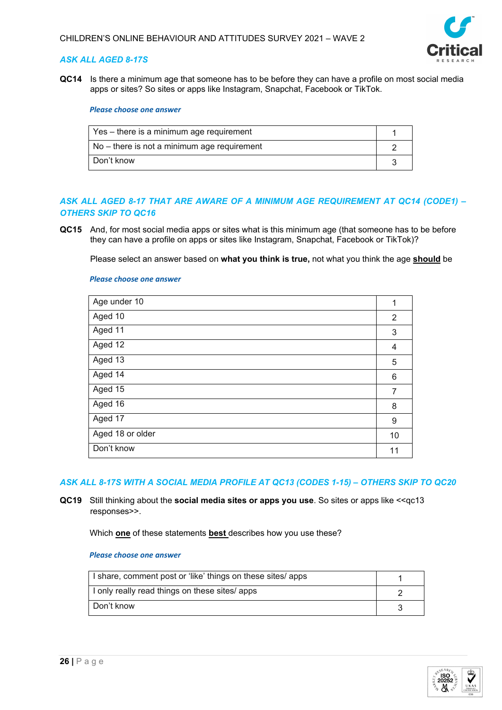

## *ASK ALL AGED 8-17S*

**QC14** Is there a minimum age that someone has to be before they can have a profile on most social media apps or sites? So sites or apps like Instagram, Snapchat, Facebook or TikTok.

#### *Please choose one answer*

| Yes – there is a minimum age requirement    |  |
|---------------------------------------------|--|
| No – there is not a minimum age requirement |  |
| Don't know                                  |  |

## *ASK ALL AGED 8-17 THAT ARE AWARE OF A MINIMUM AGE REQUIREMENT AT QC14 (CODE1) – OTHERS SKIP TO QC16*

**QC15** And, for most social media apps or sites what is this minimum age (that someone has to be before they can have a profile on apps or sites like Instagram, Snapchat, Facebook or TikTok)?

Please select an answer based on **what you think is true,** not what you think the age **should** be

#### *Please choose one answer*

| Age under 10     | 1  |
|------------------|----|
| Aged 10          | 2  |
| Aged 11          | 3  |
| Aged 12          | 4  |
| Aged 13          | 5  |
| Aged 14          | 6  |
| Aged 15          | 7  |
| Aged 16          | 8  |
| Aged 17          | 9  |
| Aged 18 or older | 10 |
| Don't know       | 11 |
|                  |    |

#### *ASK ALL 8-17S WITH A SOCIAL MEDIA PROFILE AT QC13 (CODES 1-15) – OTHERS SKIP TO QC20*

**QC19** Still thinking about the **social media sites or apps you use**. So sites or apps like <<qc13 responses>>.

Which **one** of these statements **best** describes how you use these?

| I share, comment post or 'like' things on these sites/ apps |  |
|-------------------------------------------------------------|--|
| I only really read things on these sites/ apps              |  |
| Don't know                                                  |  |

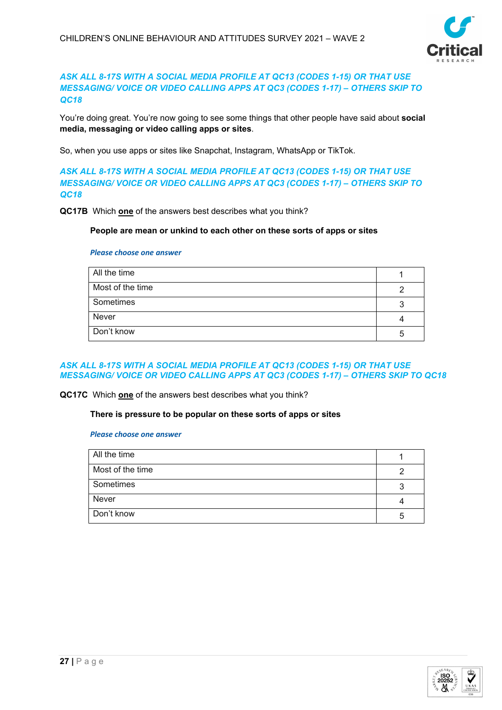

## *ASK ALL 8-17S WITH A SOCIAL MEDIA PROFILE AT QC13 (CODES 1-15) OR THAT USE MESSAGING/ VOICE OR VIDEO CALLING APPS AT QC3 (CODES 1-17) – OTHERS SKIP TO QC18*

You're doing great. You're now going to see some things that other people have said about **social media, messaging or video calling apps or sites**.

So, when you use apps or sites like Snapchat, Instagram, WhatsApp or TikTok.

*ASK ALL 8-17S WITH A SOCIAL MEDIA PROFILE AT QC13 (CODES 1-15) OR THAT USE MESSAGING/ VOICE OR VIDEO CALLING APPS AT QC3 (CODES 1-17) – OTHERS SKIP TO QC18*

**QC17B** Which **one** of the answers best describes what you think?

**People are mean or unkind to each other on these sorts of apps or sites**

#### *Please choose one answer*

| All the time     |    |
|------------------|----|
| Most of the time |    |
| Sometimes        |    |
| Never            |    |
| Don't know       | :5 |

#### *ASK ALL 8-17S WITH A SOCIAL MEDIA PROFILE AT QC13 (CODES 1-15) OR THAT USE MESSAGING/ VOICE OR VIDEO CALLING APPS AT QC3 (CODES 1-17) – OTHERS SKIP TO QC18*

**QC17C** Which **one** of the answers best describes what you think?

#### **There is pressure to be popular on these sorts of apps or sites**

| All the time     |   |
|------------------|---|
| Most of the time |   |
| Sometimes        | 3 |
| Never            |   |
| Don't know       | 5 |

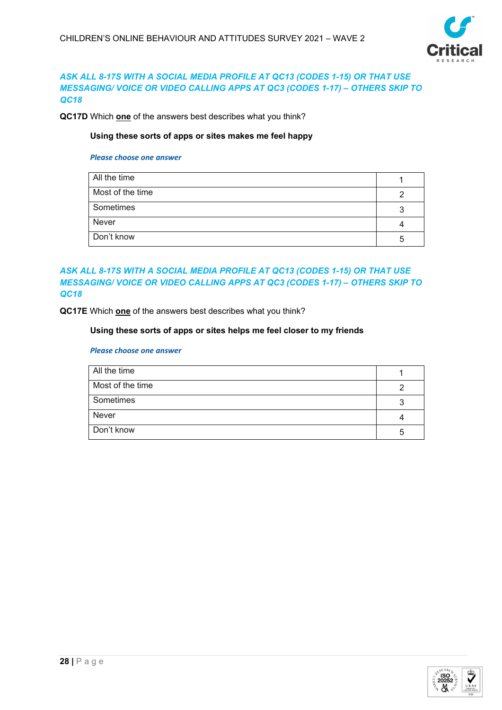

## *ASK ALL 8-17S WITH A SOCIAL MEDIA PROFILE AT QC13 (CODES 1-15) OR THAT USE MESSAGING/ VOICE OR VIDEO CALLING APPS AT QC3 (CODES 1-17) – OTHERS SKIP TO QC18*

**QC17D** Which **one** of the answers best describes what you think?

## **Using these sorts of apps or sites makes me feel happy**

#### *Please choose one answer*

| All the time     |   |
|------------------|---|
| Most of the time |   |
| Sometimes        |   |
| Never            |   |
| Don't know       | h |

## *ASK ALL 8-17S WITH A SOCIAL MEDIA PROFILE AT QC13 (CODES 1-15) OR THAT USE MESSAGING/ VOICE OR VIDEO CALLING APPS AT QC3 (CODES 1-17) – OTHERS SKIP TO QC18*

**QC17E** Which **one** of the answers best describes what you think?

#### **Using these sorts of apps or sites helps me feel closer to my friends**

| All the time     |    |
|------------------|----|
| Most of the time |    |
| Sometimes        |    |
| Never            |    |
| Don't know       | :5 |

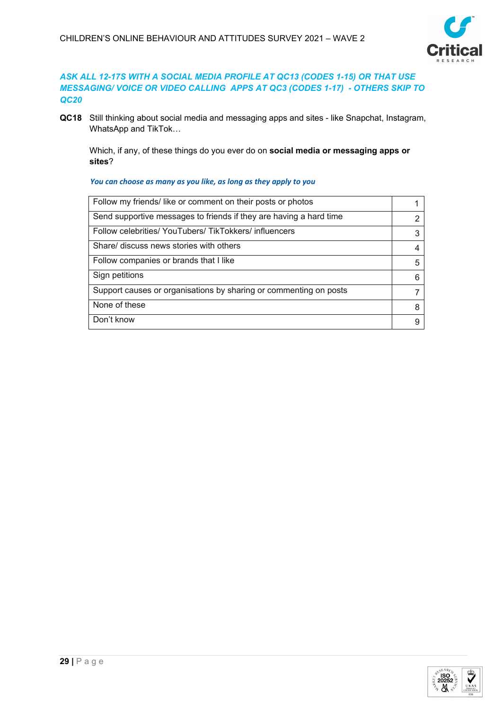

## *ASK ALL 12-17S WITH A SOCIAL MEDIA PROFILE AT QC13 (CODES 1-15) OR THAT USE MESSAGING/ VOICE OR VIDEO CALLING APPS AT QC3 (CODES 1-17) - OTHERS SKIP TO QC20*

**QC18** Still thinking about social media and messaging apps and sites - like Snapchat, Instagram, WhatsApp and TikTok…

Which, if any, of these things do you ever do on **social media or messaging apps or sites**?

| Follow my friends/like or comment on their posts or photos         |   |
|--------------------------------------------------------------------|---|
| Send supportive messages to friends if they are having a hard time |   |
| Follow celebrities/ YouTubers/ TikTokkers/ influencers             |   |
| Share/ discuss news stories with others                            |   |
| Follow companies or brands that I like                             | 5 |
| Sign petitions                                                     |   |
| Support causes or organisations by sharing or commenting on posts  |   |
| None of these                                                      | 8 |
| Don't know                                                         |   |

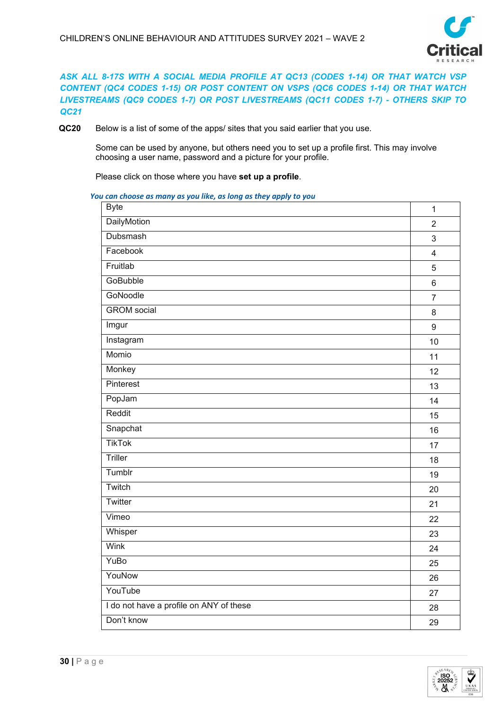

*ASK ALL 8-17S WITH A SOCIAL MEDIA PROFILE AT QC13 (CODES 1-14) OR THAT WATCH VSP CONTENT (QC4 CODES 1-15) OR POST CONTENT ON VSPS (QC6 CODES 1-14) OR THAT WATCH LIVESTREAMS (QC9 CODES 1-7) OR POST LIVESTREAMS (QC11 CODES 1-7) - OTHERS SKIP TO QC21*

**QC20** Below is a list of some of the apps/ sites that you said earlier that you use.

Some can be used by anyone, but others need you to set up a profile first. This may involve choosing a user name, password and a picture for your profile.

Please click on those where you have **set up a profile**.

| <b>Byte</b>                             | $\mathbf{1}$   |
|-----------------------------------------|----------------|
| DailyMotion                             | $\overline{2}$ |
| Dubsmash                                | $\mathfrak{S}$ |
| Facebook                                | $\overline{4}$ |
| Fruitlab                                | 5              |
| <b>GoBubble</b>                         | $6\phantom{a}$ |
| GoNoodle                                | $\overline{7}$ |
| <b>GROM</b> social                      | 8              |
| Imgur                                   | $9\,$          |
| Instagram                               | 10             |
| Momio                                   | 11             |
| Monkey                                  | 12             |
| Pinterest                               | 13             |
| PopJam                                  | 14             |
| Reddit                                  | 15             |
| Snapchat                                | 16             |
| <b>TikTok</b>                           | 17             |
| Triller                                 | 18             |
| Tumblr                                  | 19             |
| Twitch                                  | 20             |
| Twitter                                 | 21             |
| Vimeo                                   | 22             |
| Whisper                                 | 23             |
| Wink                                    | 24             |
| YuBo                                    | 25             |
| YouNow                                  | 26             |
| YouTube                                 | 27             |
| I do not have a profile on ANY of these | 28             |
| Don't know                              | 29             |

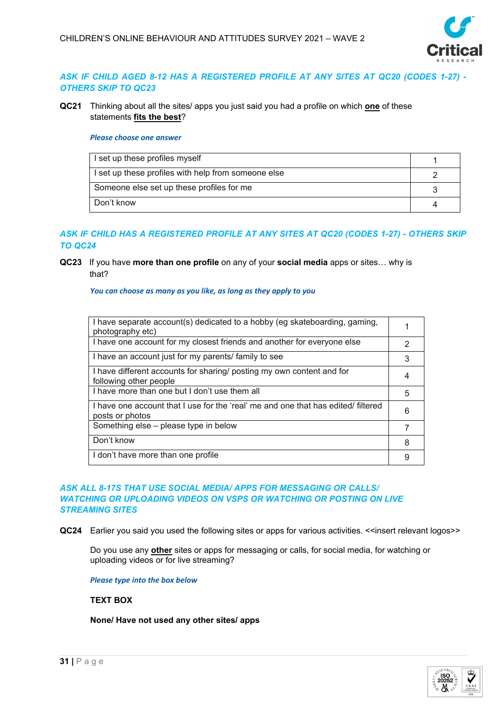

## *ASK IF CHILD AGED 8-12 HAS A REGISTERED PROFILE AT ANY SITES AT QC20 (CODES 1-27) - OTHERS SKIP TO QC23*

**QC21** Thinking about all the sites/ apps you just said you had a profile on which **one** of these statements **fits the best**?

#### *Please choose one answer*

| I set up these profiles myself                      |  |
|-----------------------------------------------------|--|
| I set up these profiles with help from someone else |  |
| Someone else set up these profiles for me           |  |
| Don't know                                          |  |

## *ASK IF CHILD HAS A REGISTERED PROFILE AT ANY SITES AT QC20 (CODES 1-27) - OTHERS SKIP TO QC24*

## **QC23** If you have **more than one profile** on any of your **social media** apps or sites… why is that?

*You can choose as many as you like, as long as they apply to you*

| I have separate account(s) dedicated to a hobby (eg skateboarding, gaming,<br>photography etc)       |   |
|------------------------------------------------------------------------------------------------------|---|
| I have one account for my closest friends and another for everyone else                              | 2 |
| I have an account just for my parents/ family to see                                                 | 3 |
| I have different accounts for sharing/ posting my own content and for<br>following other people      |   |
| I have more than one but I don't use them all                                                        | 5 |
| I have one account that I use for the 'real' me and one that has edited/ filtered<br>posts or photos | 6 |
| Something else - please type in below                                                                |   |
| Don't know                                                                                           | 8 |
| I don't have more than one profile                                                                   |   |

## *ASK ALL 8-17S THAT USE SOCIAL MEDIA/ APPS FOR MESSAGING OR CALLS/ WATCHING OR UPLOADING VIDEOS ON VSPS OR WATCHING OR POSTING ON LIVE STREAMING SITES*

**QC24** Earlier you said you used the following sites or apps for various activities. <<insert relevant logos>>

Do you use any **other** sites or apps for messaging or calls, for social media, for watching or uploading videos or for live streaming?

*Please type into the box below*

## **TEXT BOX**

**None/ Have not used any other sites/ apps**

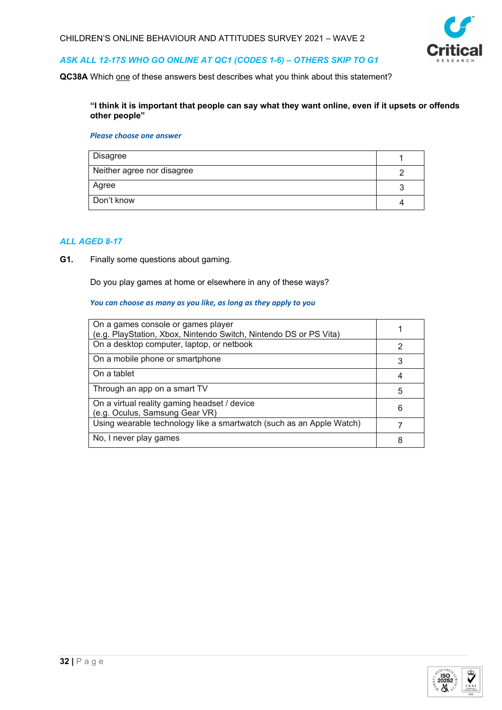

## *ASK ALL 12-17S WHO GO ONLINE AT QC1 (CODES 1-6) – OTHERS SKIP TO G1*

**QC38A** Which one of these answers best describes what you think about this statement?

#### **"I think it is important that people can say what they want online, even if it upsets or offends other people"**

#### *Please choose one answer*

| Disagree                   |  |
|----------------------------|--|
| Neither agree nor disagree |  |
| Agree                      |  |
| Don't know                 |  |

## *ALL AGED 8-17*

**G1.** Finally some questions about gaming.

Do you play games at home or elsewhere in any of these ways?

| On a games console or games player<br>(e.g. PlayStation, Xbox, Nintendo Switch, Nintendo DS or PS Vita) |   |
|---------------------------------------------------------------------------------------------------------|---|
| On a desktop computer, laptop, or netbook                                                               | 2 |
| On a mobile phone or smartphone                                                                         |   |
| On a tablet                                                                                             |   |
| Through an app on a smart TV                                                                            | 5 |
| On a virtual reality gaming headset / device<br>(e.g. Oculus, Samsung Gear VR)                          | 6 |
| Using wearable technology like a smartwatch (such as an Apple Watch)                                    |   |
| No, I never play games                                                                                  |   |

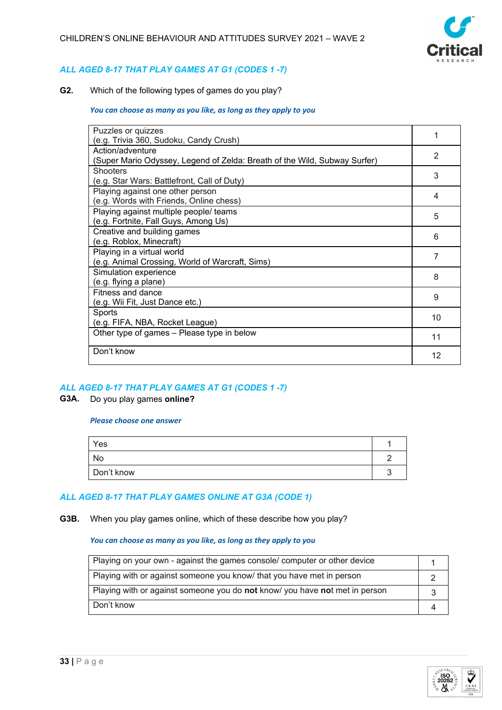

## *ALL AGED 8-17 THAT PLAY GAMES AT G1 (CODES 1 -7)*

**G2.** Which of the following types of games do you play?

#### *You can choose as many as you like, as long as they apply to you*

| Puzzles or quizzes                                                        |    |
|---------------------------------------------------------------------------|----|
| (e.g. Trivia 360, Sudoku, Candy Crush)                                    |    |
| Action/adventure                                                          | 2  |
| (Super Mario Odyssey, Legend of Zelda: Breath of the Wild, Subway Surfer) |    |
| <b>Shooters</b>                                                           | 3  |
| (e.g. Star Wars: Battlefront, Call of Duty)                               |    |
| Playing against one other person                                          | 4  |
| (e.g. Words with Friends, Online chess)                                   |    |
| Playing against multiple people/ teams                                    | 5  |
| (e.g. Fortnite, Fall Guys, Among Us)                                      |    |
| Creative and building games                                               | 6  |
| (e.g. Roblox, Minecraft)                                                  |    |
| Playing in a virtual world                                                | 7  |
| (e.g. Animal Crossing, World of Warcraft, Sims)                           |    |
| Simulation experience                                                     | 8  |
| (e.g. flying a plane)                                                     |    |
| Fitness and dance                                                         | 9  |
| (e.g. Wii Fit, Just Dance etc.)                                           |    |
| Sports                                                                    | 10 |
| (e.g. FIFA, NBA, Rocket League)                                           |    |
| Other type of games - Please type in below                                | 11 |
|                                                                           |    |
| Don't know                                                                | 12 |
|                                                                           |    |

## *ALL AGED 8-17 THAT PLAY GAMES AT G1 (CODES 1 -7)*

#### **G3A.** Do you play games **online?**

#### *Please choose one answer*

| Yes        |  |
|------------|--|
| No         |  |
| Don't know |  |

## *ALL AGED 8-17 THAT PLAY GAMES ONLINE AT G3A (CODE 1)*

**G3B.** When you play games online, which of these describe how you play?

| Playing on your own - against the games console/ computer or other device                 |  |
|-------------------------------------------------------------------------------------------|--|
| Playing with or against someone you know/ that you have met in person                     |  |
| Playing with or against someone you do <b>not</b> know/ you have <b>not</b> met in person |  |
| Don't know                                                                                |  |

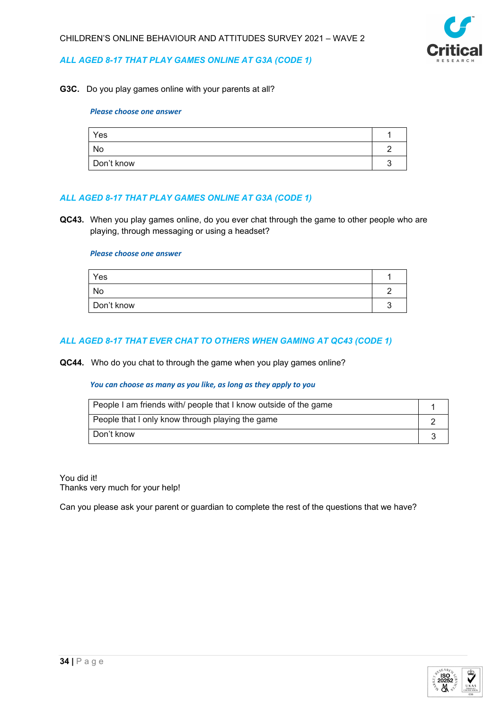

## *ALL AGED 8-17 THAT PLAY GAMES ONLINE AT G3A (CODE 1)*

**G3C.** Do you play games online with your parents at all?

#### *Please choose one answer*

| Yes        |  |
|------------|--|
| No         |  |
| Don't know |  |

#### *ALL AGED 8-17 THAT PLAY GAMES ONLINE AT G3A (CODE 1)*

**QC43.** When you play games online, do you ever chat through the game to other people who are playing, through messaging or using a headset?

#### *Please choose one answer*

| Yes        |  |
|------------|--|
| No         |  |
| Don't know |  |

## *ALL AGED 8-17 THAT EVER CHAT TO OTHERS WHEN GAMING AT QC43 (CODE 1)*

**QC44.** Who do you chat to through the game when you play games online?

#### *You can choose as many as you like, as long as they apply to you*

| People I am friends with/ people that I know outside of the game |  |
|------------------------------------------------------------------|--|
| People that I only know through playing the game                 |  |
| Don't know                                                       |  |

You did it! Thanks very much for your help!

Can you please ask your parent or guardian to complete the rest of the questions that we have?

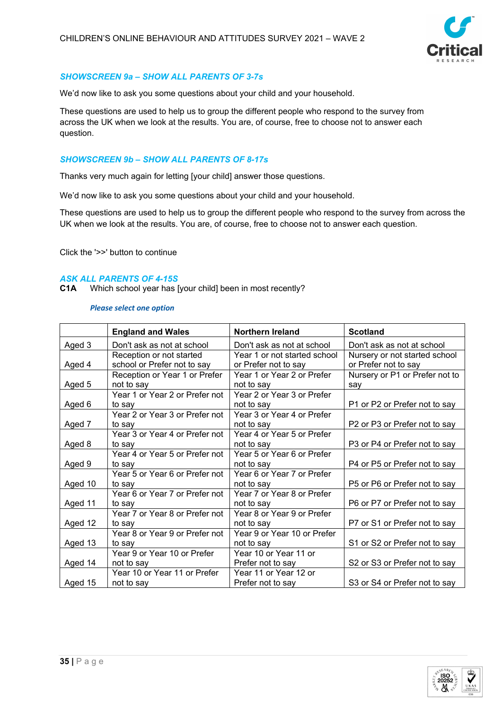

## *SHOWSCREEN 9a – SHOW ALL PARENTS OF 3-7s*

We'd now like to ask you some questions about your child and your household.

These questions are used to help us to group the different people who respond to the survey from across the UK when we look at the results. You are, of course, free to choose not to answer each question.

## *SHOWSCREEN 9b – SHOW ALL PARENTS OF 8-17s*

Thanks very much again for letting [your child] answer those questions.

We'd now like to ask you some questions about your child and your household.

These questions are used to help us to group the different people who respond to the survey from across the UK when we look at the results. You are, of course, free to choose not to answer each question.

Click the '>>' button to continue

## *ASK ALL PARENTS OF 4-15S*

**C1A** Which school year has [your child] been in most recently?

|         | <b>England and Wales</b>                                | Northern Ireland                                     | <b>Scotland</b>                                       |
|---------|---------------------------------------------------------|------------------------------------------------------|-------------------------------------------------------|
| Aged 3  | Don't ask as not at school                              | Don't ask as not at school                           | Don't ask as not at school                            |
| Aged 4  | Reception or not started<br>school or Prefer not to say | Year 1 or not started school<br>or Prefer not to say | Nursery or not started school<br>or Prefer not to say |
|         | Reception or Year 1 or Prefer                           | Year 1 or Year 2 or Prefer                           | Nursery or P1 or Prefer not to                        |
| Aged 5  | not to say                                              | not to say                                           | say                                                   |
|         | not to say<br>Year 1 or Year 2 or Prefer not            | Year 2 or Year 3 or Prefer                           |                                                       |
| Aged 6  | to say                                                  | not to say                                           | P1 or P2 or Prefer not to say                         |
|         | Year 2 or Year 3 or Prefer not                          | Year 3 or Year 4 or Prefer                           |                                                       |
| Aged 7  | to say                                                  | not to say                                           | P2 or P3 or Prefer not to say                         |
|         | Year 3 or Year 4 or Prefer not                          | Year 4 or Year 5 or Prefer                           |                                                       |
| Aged 8  | to say                                                  | not to say                                           | P3 or P4 or Prefer not to say                         |
|         | Year 4 or Year 5 or Prefer not                          | Year 5 or Year 6 or Prefer                           |                                                       |
| Aged 9  | to say                                                  | not to say                                           | P4 or P5 or Prefer not to say                         |
|         | Year 5 or Year 6 or Prefer not                          | Year 6 or Year 7 or Prefer                           |                                                       |
| Aged 10 | to say                                                  | not to say                                           | P5 or P6 or Prefer not to say                         |
| Aged 11 | Year 6 or Year 7 or Prefer not<br>to say                | Year 7 or Year 8 or Prefer<br>not to say             | P6 or P7 or Prefer not to say                         |
|         | Year 7 or Year 8 or Prefer not                          | Year 8 or Year 9 or Prefer                           |                                                       |
| Aged 12 | to say                                                  | not to say                                           | P7 or S1 or Prefer not to say                         |
|         | Year 8 or Year 9 or Prefer not                          | Year 9 or Year 10 or Prefer                          |                                                       |
| Aged 13 | to sav                                                  | not to say                                           | S1 or S2 or Prefer not to say                         |
|         | Year 9 or Year 10 or Prefer                             | Year 10 or Year 11 or                                |                                                       |
| Aged 14 | not to say                                              | Prefer not to say                                    | S2 or S3 or Prefer not to say                         |
|         | Year 10 or Year 11 or Prefer                            | Year 11 or Year 12 or                                |                                                       |
| Aged 15 | not to say                                              | Prefer not to say                                    | S3 or S4 or Prefer not to say                         |

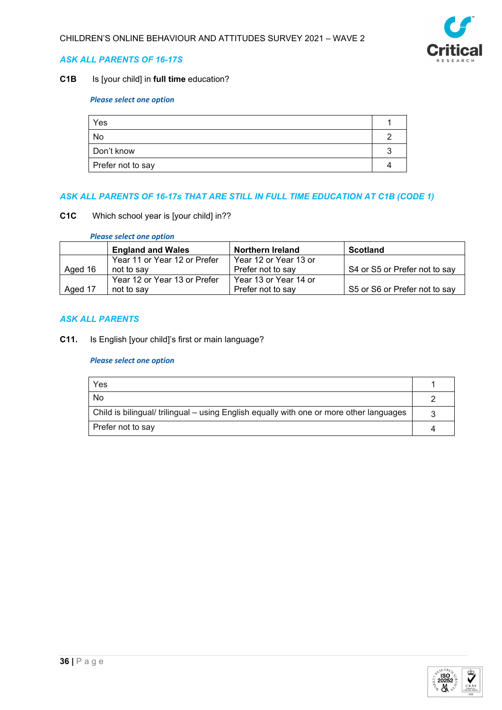

## *ASK ALL PARENTS OF 16-17S*

## **C1B** Is [your child] in **full time** education?

## *Please select one option*

| Yes               |  |
|-------------------|--|
| No                |  |
| Don't know        |  |
| Prefer not to say |  |

## *ASK ALL PARENTS OF 16-17s THAT ARE STILL IN FULL TIME EDUCATION AT C1B (CODE 1)*

#### **C1C** Which school year is [your child] in??

*Please select one option*

|         | <b>England and Wales</b>     | <b>Northern Ireland</b> | <b>Scotland</b>               |
|---------|------------------------------|-------------------------|-------------------------------|
|         | Year 11 or Year 12 or Prefer | Year 12 or Year 13 or   |                               |
| Aged 16 | not to say                   | Prefer not to say       | S4 or S5 or Prefer not to say |
|         | Year 12 or Year 13 or Prefer | Year 13 or Year 14 or   |                               |
| Aged 17 | not to say                   | Prefer not to say       | S5 or S6 or Prefer not to say |

## *ASK ALL PARENTS*

**C11.** Is English [your child]'s first or main language?

| Yes                                                                                     |  |
|-----------------------------------------------------------------------------------------|--|
| No                                                                                      |  |
| Child is bilingual/ trilingual – using English equally with one or more other languages |  |
| Prefer not to say                                                                       |  |

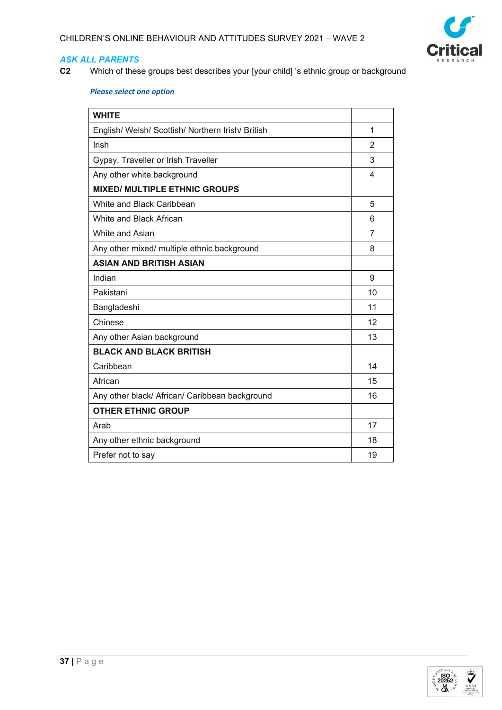

**C2** Which of these groups best describes your [your child] 's ethnic group or background

| <b>WHITE</b>                                      |    |
|---------------------------------------------------|----|
| English/ Welsh/ Scottish/ Northern Irish/ British | 1  |
| Irish                                             | 2  |
| Gypsy, Traveller or Irish Traveller               | 3  |
| Any other white background                        | 4  |
| <b>MIXED/ MULTIPLE ETHNIC GROUPS</b>              |    |
| White and Black Caribbean                         | 5  |
| White and Black African                           | 6  |
| White and Asian                                   | 7  |
| Any other mixed/ multiple ethnic background       | 8  |
| <b>ASIAN AND BRITISH ASIAN</b>                    |    |
| Indian                                            | 9  |
| Pakistani                                         | 10 |
| Bangladeshi                                       | 11 |
| Chinese                                           | 12 |
| Any other Asian background                        | 13 |
| <b>BLACK AND BLACK BRITISH</b>                    |    |
| Caribbean                                         | 14 |
| African                                           | 15 |
| Any other black/ African/ Caribbean background    | 16 |
| <b>OTHER ETHNIC GROUP</b>                         |    |
| Arab                                              | 17 |
| Any other ethnic background                       | 18 |
| Prefer not to say                                 | 19 |

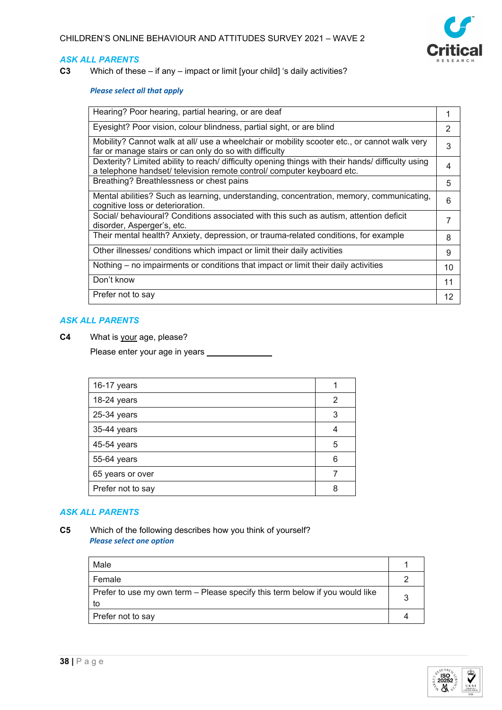

**C3** Which of these – if any – impact or limit [your child] 's daily activities?

#### *Please select all that apply*

| Hearing? Poor hearing, partial hearing, or are deaf                                                                                                                         |    |
|-----------------------------------------------------------------------------------------------------------------------------------------------------------------------------|----|
| Eyesight? Poor vision, colour blindness, partial sight, or are blind                                                                                                        | 2  |
| Mobility? Cannot walk at all/ use a wheelchair or mobility scooter etc., or cannot walk very<br>far or manage stairs or can only do so with difficulty                      | 3  |
| Dexterity? Limited ability to reach/ difficulty opening things with their hands/ difficulty using<br>a telephone handset/ television remote control/ computer keyboard etc. |    |
| Breathing? Breathlessness or chest pains                                                                                                                                    | 5  |
| Mental abilities? Such as learning, understanding, concentration, memory, communicating,<br>cognitive loss or deterioration.                                                | 6  |
| Social/ behavioural? Conditions associated with this such as autism, attention deficit<br>disorder, Asperger's, etc.                                                        |    |
| Their mental health? Anxiety, depression, or trauma-related conditions, for example                                                                                         | 8  |
| Other illnesses/ conditions which impact or limit their daily activities                                                                                                    | 9  |
| Nothing – no impairments or conditions that impact or limit their daily activities                                                                                          | 10 |
| Don't know                                                                                                                                                                  | 11 |
| Prefer not to say                                                                                                                                                           | 12 |

#### *ASK ALL PARENTS*

**C4** What is your age, please?

Please enter your age in years \_

| 16-17 years       |   |
|-------------------|---|
| 18-24 years       | 2 |
| 25-34 years       | 3 |
| 35-44 years       |   |
| 45-54 years       | 5 |
| 55-64 years       | 6 |
| 65 years or over  |   |
| Prefer not to say |   |

## *ASK ALL PARENTS*

**C5** Which of the following describes how you think of yourself? *Please select one option*

| Male                                                                               |  |
|------------------------------------------------------------------------------------|--|
| Female                                                                             |  |
| Prefer to use my own term – Please specify this term below if you would like<br>to |  |
| Prefer not to say                                                                  |  |

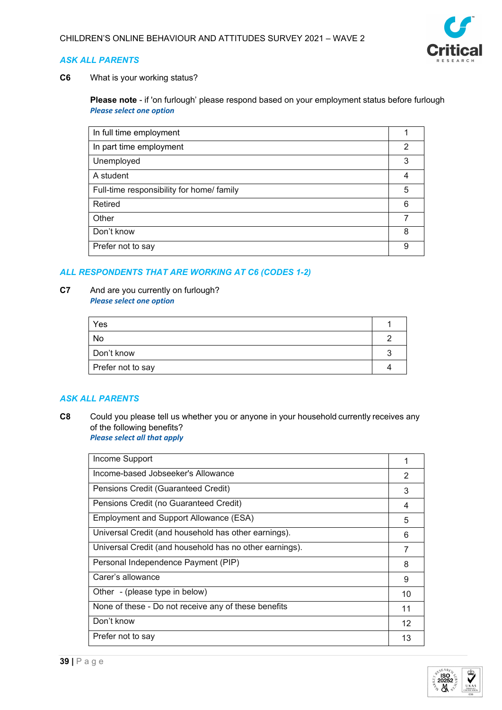

**C6** What is your working status?

**Please note** - if 'on furlough' please respond based on your employment status before furlough *Please select one option*

| In full time employment                   |   |
|-------------------------------------------|---|
| In part time employment                   | 2 |
| Unemployed                                | 3 |
| A student                                 | 4 |
| Full-time responsibility for home/ family | 5 |
| Retired                                   | 6 |
| Other                                     |   |
| Don't know                                | 8 |
| Prefer not to say                         | 9 |

## *ALL RESPONDENTS THAT ARE WORKING AT C6 (CODES 1-2)*

#### **C7** And are you currently on furlough? *Please select one option*

| Yes               |  |
|-------------------|--|
| No                |  |
| Don't know        |  |
| Prefer not to say |  |

## *ASK ALL PARENTS*

**C8** Could you please tell us whether you or anyone in your household currently receives any of the following benefits?   *Please select all that apply*

| Income Support                                          |    |
|---------------------------------------------------------|----|
| Income-based Jobseeker's Allowance                      | 2  |
| Pensions Credit (Guaranteed Credit)                     | 3  |
| Pensions Credit (no Guaranteed Credit)                  | 4  |
| Employment and Support Allowance (ESA)                  | 5  |
| Universal Credit (and household has other earnings).    | 6  |
| Universal Credit (and household has no other earnings). |    |
| Personal Independence Payment (PIP)                     | 8  |
| Carer's allowance                                       | 9  |
| Other - (please type in below)                          | 10 |
| None of these - Do not receive any of these benefits    | 11 |
| Don't know                                              | 12 |
| Prefer not to say                                       | 13 |